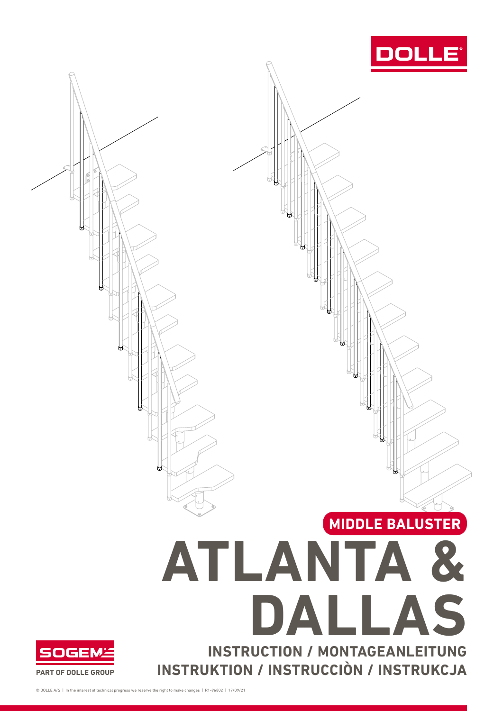

© DOLLE A/S | In the interest of technical progress we reserve the right to make changes | R1-96802 | 17/09/21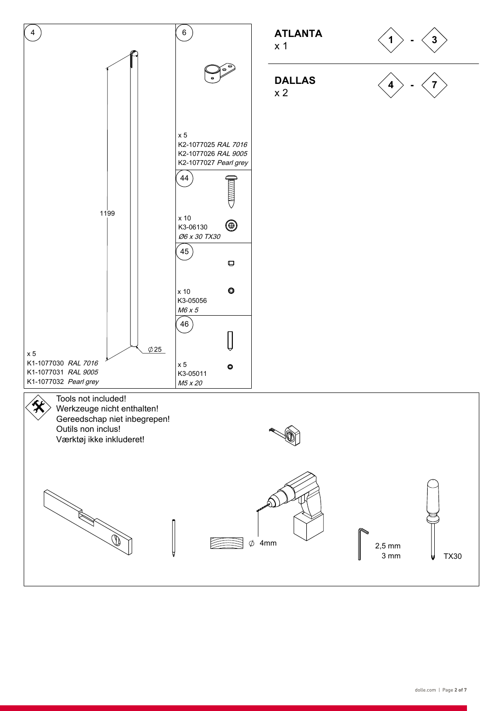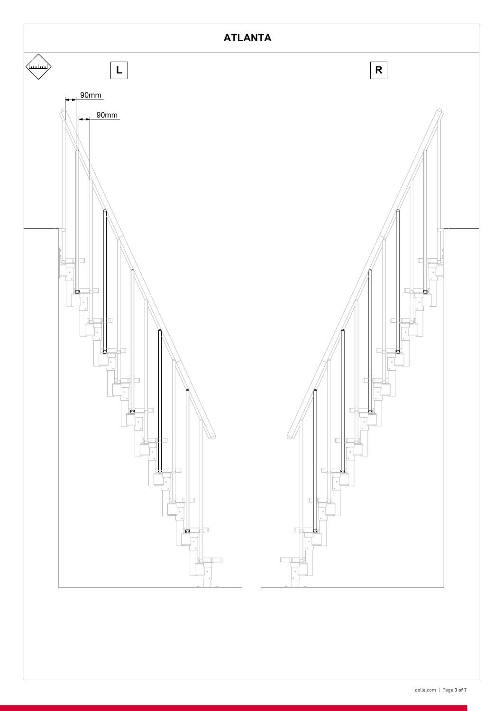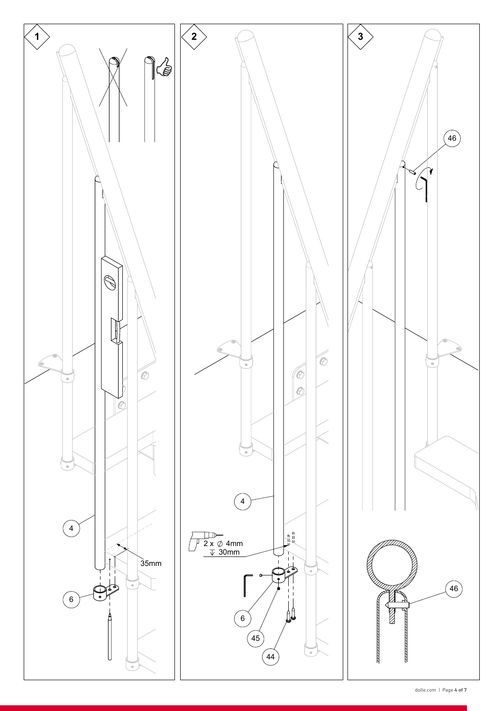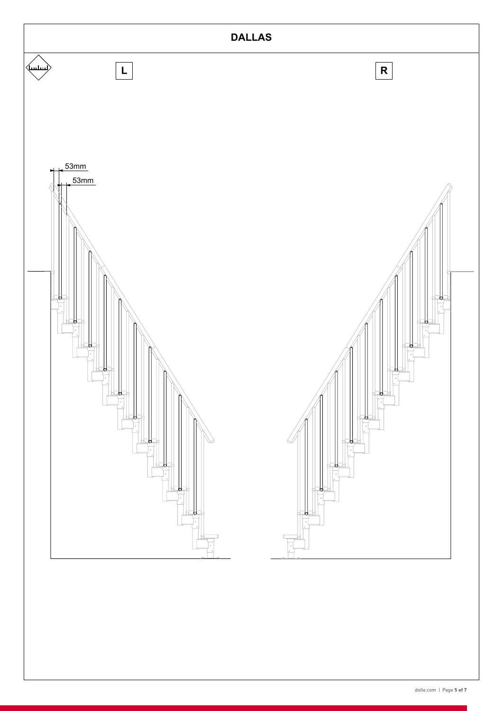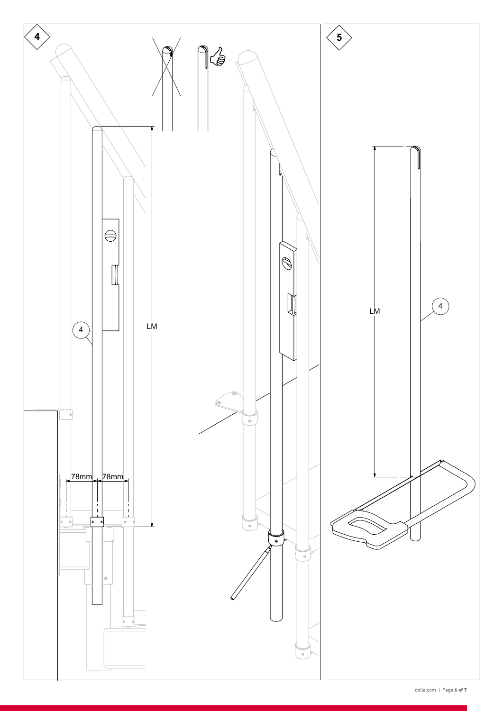